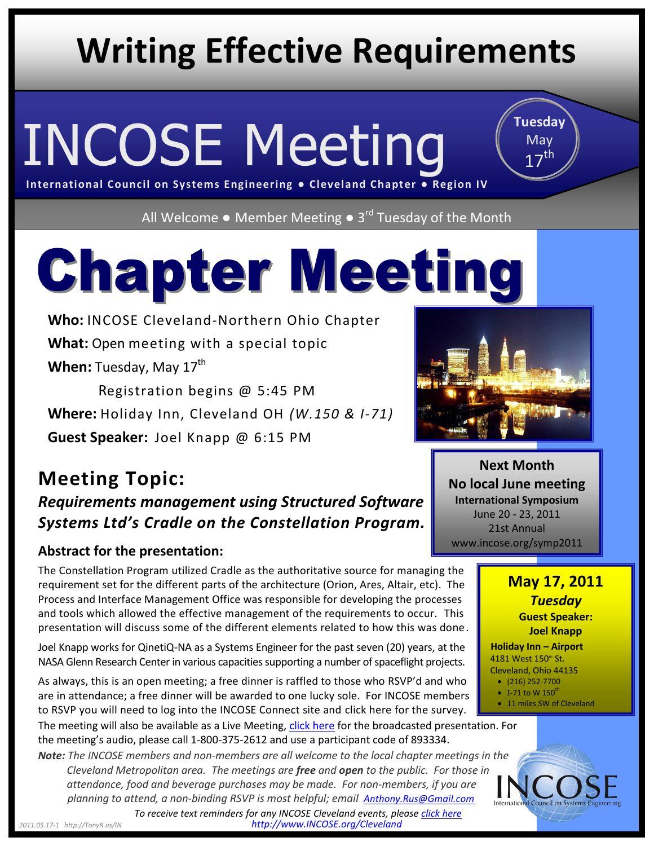# **Writing Effective Requirements**

# INCOSE Meeting

**Tuesday** May  $17<sup>th</sup>$ 

**International Council on Systems Engineering ● Cleveland Chapter ● Region IV**

All Welcome • Member Meeting • 3<sup>rd</sup> Tuesday of the Month

# **Chapter Meeting**

**Who:** INCOSE Cleveland-Northern Ohio Chapter **What:** Open meeting with a special topic **When:** Tuesday, May 17<sup>th</sup>

 Registration begins @ 5:45 PM **Where:** Holiday Inn, Cleveland OH *(W.150 & I-71)* **Guest Speaker:** Joel Knapp @ 6:15 PM

### **Meeting Topic:** *Requirements management using Structured Software Systems Ltd's Cradle on the Constellation Program.*

#### **Abstract for the presentation:**

The Constellation Program utilized Cradle as the authoritative source for managing the requirement set for the different parts of the architecture (Orion, Ares, Altair, etc). The Process and Interface Management Office was responsible for developing the processes and tools which allowed the effective management of the requirements to occur. This presentation will discuss some of the different elements related to how this was done.

Joel Knapp works for QinetiQ-NA as a Systems Engineer for the past seven (20) years, at the NASA Glenn Research Center in various capacities supporting a number of spaceflight projects.

As always, this is an open meeting; a free dinner is raffled to those who RSVP'd and who are in attendance; a free dinner will be awarded to one lucky sole. For INCOSE members to RSVP you will need to log into the INCOSE Connect site and [click here](https://connect.incose.org/mb/r4/Cleveland-NO/Lists/April%20meeting%20attendance%20survey/overview.aspx) for the survey.

The meeting will also be available as a Live Meeting, [click here](https://www.livemeeting.com/cc/incose/join?id=INCOSE-CLE&role=attend&pw=XRH%23%5Bn%29w7) for the broadcasted presentation. For the meeting's audio, please call 1-800-375-2612 and use a participant code of 893334.

*Note: The INCOSE members and non-members are all welcome to the local chapter meetings in [the](http://www.incose.org/Cleveland) Cleveland Metropolitan area. The meetings are free and open to the public. For those in attendance, food and beverage purchases may be made. For non-members, if you are planning to attend, a non-binding RSVP is most helpful; email [Anthony.Rus@Gmail.com](mailto:Anthony.Rus@Gmail.com)*



**Next Month No local June meeting International Symposium** June 20 - 23, 2011 21st Annual www.incose.org/symp2011





*2011.05.17-1 http://TonyR.us/IN http://www.INCOSE.org/Cleveland To receive text reminders for any INCOSE Cleveland events, please [click here](https://app.grouptexting.com/weblink/subscribe/?ids=110102&group=92718&ll=null&bgc=ffffff&ff=A&fs=N&fz=13&fc=000000&mt=To%20RSVP%20or%20sign-up%20to%20receive%20TEXT%20reminders%20for%20any%20Cleveland%20area%20INCOSE%20event...&ms=http%3A//TonyR.us/IN%20&)*